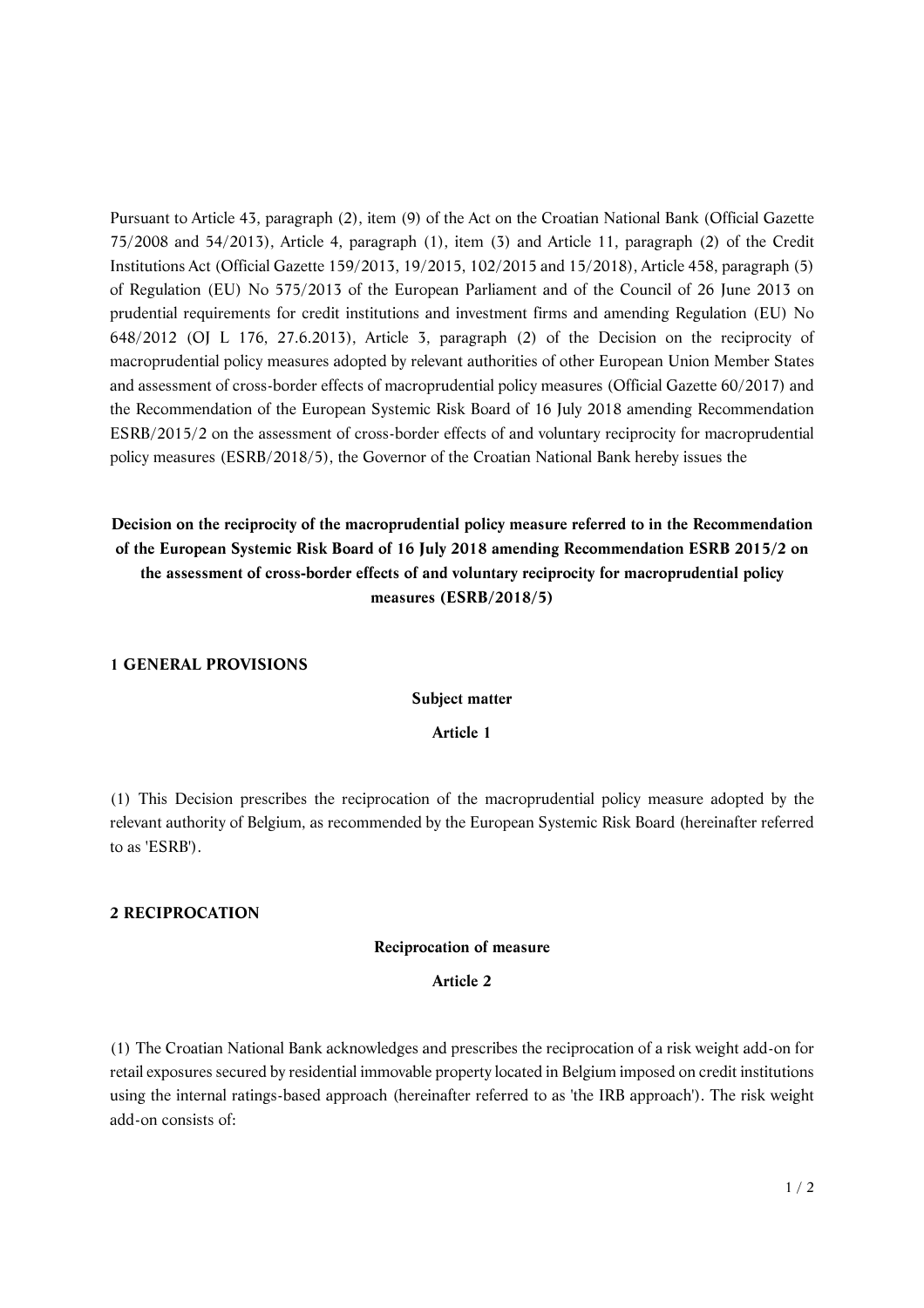Pursuant to Article 43, paragraph (2), item (9) of the Act on the Croatian National Bank (Official Gazette 75/2008 and 54/2013), Article 4, paragraph (1), item (3) and Article 11, paragraph (2) of the Credit Institutions Act (Official Gazette 159/2013, 19/2015, 102/2015 and 15/2018), Article 458, paragraph (5) of Regulation (EU) No 575/2013 of the European Parliament and of the Council of 26 June 2013 on prudential requirements for credit institutions and investment firms and amending Regulation (EU) No 648/2012 (OJ L 176, 27.6.2013), Article 3, paragraph (2) of the Decision on the reciprocity of macroprudential policy measures adopted by relevant authorities of other European Union Member States and assessment of cross-border effects of macroprudential policy measures (Official Gazette 60/2017) and the Recommendation of the European Systemic Risk Board of 16 July 2018 amending Recommendation ESRB/2015/2 on the assessment of cross-border effects of and voluntary reciprocity for macroprudential policy measures (ESRB/2018/5), the Governor of the Croatian National Bank hereby issues the

**Decision on the reciprocity of the macroprudential policy measure referred to in the Recommendation of the European Systemic Risk Board of 16 July 2018 amending Recommendation ESRB 2015/2 on the assessment of cross-border effects of and voluntary reciprocity for macroprudential policy measures (ESRB/2018/5)**

## **1 GENERAL PROVISIONS**

#### **Subject matter**

## **Article 1**

(1) This Decision prescribes the reciprocation of the macroprudential policy measure adopted by the relevant authority of Belgium, as recommended by the European Systemic Risk Board (hereinafter referred to as 'ESRB').

## **2 RECIPROCATION**

#### **Reciprocation of measure**

## **Article 2**

(1) The Croatian National Bank acknowledges and prescribes the reciprocation of a risk weight add-on for retail exposures secured by residential immovable property located in Belgium imposed on credit institutions using the internal ratings-based approach (hereinafter referred to as 'the IRB approach'). The risk weight add-on consists of: